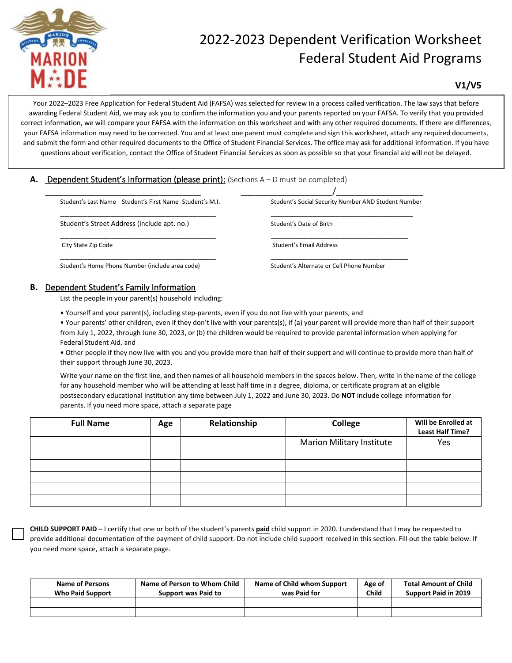

# 2022-2023 Dependent Verification Worksheet Federal Student Aid Programs

**V1/V5**

Your 2022–2023 Free Application for Federal Student Aid (FAFSA) was selected for review in a process called verification. The law says that before awarding Federal Student Aid, we may ask you to confirm the information you and your parents reported on your FAFSA. To verify that you provided correct information, we will compare your FAFSA with the information on this worksheet and with any other required documents. If there are differences, your FAFSA information may need to be corrected. You and at least one parent must complete and sign this worksheet, attach any required documents, and submit the form and other required documents to the Office of Student Financial Services. The office may ask for additional information. If you have questions about verification, contact the Office of Student Financial Services as soon as possible so that your financial aid will not be delayed.

## A. Dependent Student's Information (please print): (Sections A – D must be completed)

| Student's Last Name Student's First Name Student's M.I. | Student's Social Security Number AND Student Number |
|---------------------------------------------------------|-----------------------------------------------------|
| Student's Street Address (include apt. no.)             | Student's Date of Birth                             |
| City State Zip Code                                     | Student's Email Address                             |
| Student's Home Phone Number (include area code)         | Student's Alternate or Cell Phone Number            |

### **B.** Dependent Student's Family Information

List the people in your parent(s) household including:

• Yourself and your parent(s), including step-parents, even if you do not live with your parents, and

• Your parents' other children, even if they don't live with your parents(s), if (a) your parent will provide more than half of their support from July 1, 2022, through June 30, 2023, or (b) the children would be required to provide parental information when applying for Federal Student Aid, and

• Other people if they now live with you and you provide more than half of their support and will continue to provide more than half of their support through June 30, 2023.

Write your name on the first line, and then names of all household members in the spaces below. Then, write in the name of the college for any household member who will be attending at least half time in a degree, diploma, or certificate program at an eligible postsecondary educational institution any time between July 1, 2022 and June 30, 2023. Do **NOT** include college information for parents. If you need more space, attach a separate page

| <b>Full Name</b> | Age | Relationship | College                          | Will be Enrolled at<br><b>Least Half Time?</b> |  |
|------------------|-----|--------------|----------------------------------|------------------------------------------------|--|
|                  |     |              | <b>Marion Military Institute</b> | Yes                                            |  |
|                  |     |              |                                  |                                                |  |
|                  |     |              |                                  |                                                |  |
|                  |     |              |                                  |                                                |  |
|                  |     |              |                                  |                                                |  |
|                  |     |              |                                  |                                                |  |

**CHILD SUPPORT PAID** – I certify that one or both of the student's parents **paid** child support in 2020. I understand that I may be requested to provide additional documentation of the payment of child support. Do not include child support received in this section. Fill out the table below. If you need more space, attach a separate page.

| <b>Name of Persons</b><br>Who Paid Support | Name of Person to Whom Child<br>Support was Paid to | Name of Child whom Support<br>was Paid for | Age of<br><b>Child</b> | <b>Total Amount of Child</b><br>Support Paid in 2019 |  |
|--------------------------------------------|-----------------------------------------------------|--------------------------------------------|------------------------|------------------------------------------------------|--|
|                                            |                                                     |                                            |                        |                                                      |  |
|                                            |                                                     |                                            |                        |                                                      |  |